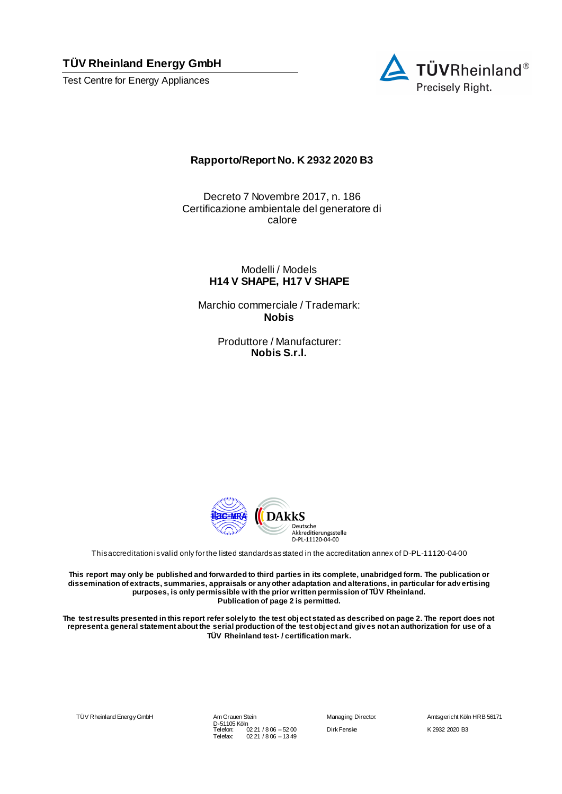**TÜV Rheinland Energy GmbH** 

Test Centre for Energy Appliances



#### **Rapporto/Report No. K 2932 2020 B3**

Decreto 7 Novembre 2017, n. 186 Certificazione ambientale del generatore di calore

> Modelli / Models **H14 V SHAPE, H17 V SHAPE**

Marchio commerciale / Trademark: **Nobis**

> Produttore / Manufacturer: **Nobis S.r.l.**



This accreditation is valid only for the listed standards as stated in the accreditation annex of D-PL-11120-04-00

**This report may only be published and forwarded to third parties in its complete, unabridged form. The publication or dissemination of extracts, summaries, appraisals or any other adaptation and alterations, in particular for adv ertising purposes, is only permissible with the prior written permission of TÜV Rheinland. Publication of page 2 is permitted.**

**The test results presented in this report refer solely to the test object stated as described on page 2. The report does not represent a general statement about the serial production of the test object and giv es not an authorization for use of a TÜV Rheinland test- / certification mark.**

TÜV Rheinland Energy GmbH Am Grauen Stein

D-51105 Köln Telefon: 02 21 / 8 06 – 52 00 Telefax:  $02\,21\,$  / 8 06 – 13 49

Managing Director: Amtsgericht Köln HRB 56171 Dirk Fenske K 2932 2020 B3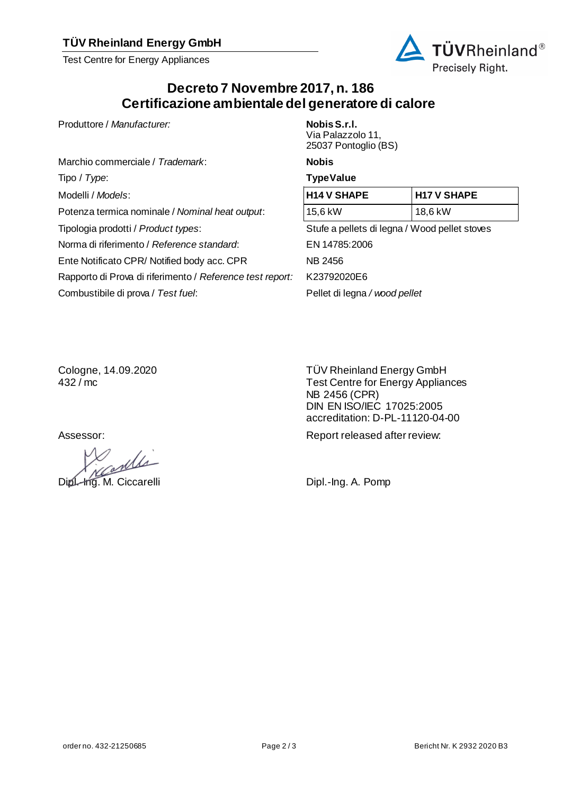### **TÜV Rheinland Energy GmbH**

Test Centre for Energy Appliances



## **Decreto 7 Novembre 2017, n. 186 Certificazione ambientale del generatore di calore**

Produttore / *Manufacturer:* **Nobis S.r.l.**

Marchio commerciale / *Trademark*: **Nobis** Tipo / *Type*: Tipo / *TypeValue* **Modelli** / *Models*: Potenza termica nominale / *Nominal heat output*: Tipologia prodotti / *Product types*: Stufe a pellets di legna / Wood pellet stoves Norma di riferimento / *Reference standard*: EN 14785:2006 Ente Notificato CPR/ Notified body acc. CPR NB 2456 Rapporto di Prova di riferimento / *Reference test report:* K23792020E6

Combustibile di prova / *Test fuel*: Pellet di legna */ wood pellet*

# Via Palazzolo 11, 25037 Pontoglio (BS)

| <b>H14 V SHAPE</b>                                                                                                                                                                                                                                                                                          | <b>H17 V SHAPE</b> |  |  |
|-------------------------------------------------------------------------------------------------------------------------------------------------------------------------------------------------------------------------------------------------------------------------------------------------------------|--------------------|--|--|
| 15,6 kW                                                                                                                                                                                                                                                                                                     | 18,6 kW            |  |  |
| $\bigcap_{i=1}^{n}$ and $\bigcap_{i=1}^{n}$ and $\bigcap_{i=1}^{n}$ and $\bigcap_{i=1}^{n}$ and $\bigcap_{i=1}^{n}$ and $\bigcap_{i=1}^{n}$ and $\bigcap_{i=1}^{n}$ and $\bigcap_{i=1}^{n}$ and $\bigcap_{i=1}^{n}$ and $\bigcap_{i=1}^{n}$ and $\bigcap_{i=1}^{n}$ and $\bigcap_{i=1}^{n}$ and $\bigcap_{$ |                    |  |  |

Cologne, 14.09.2020 432 / mc

contra

Dipl.-Ing. M. Ciccarelli Dipl.-Ing. A. Pomp

TÜV Rheinland Energy GmbH Test Centre for Energy Appliances NB 2456 (CPR) DIN EN ISO/IEC 17025:2005 accreditation: D-PL-11120-04-00

Assessor: Assessor: Assessor: Report released after review: